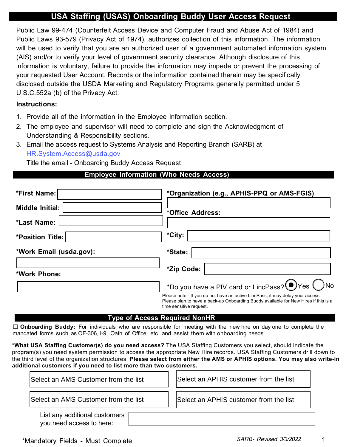# **USA Staffing (USAS) Onboarding Buddy User Access Request**

Public Law 99-474 (Counterfeit Access Device and Computer Fraud and Abuse Act of 1984) and Public Laws 93-579 (Privacy Act of 1974), authorizes collection of this information. The information will be used to verify that you are an authorized user of a government automated information system (AIS) and/or to verify your level of government security clearance. Although disclosure of this information is voluntary, failure to provide the information may impede or prevent the processing of your requested User Account. Records or the information contained therein may be specifically disclosed outside the USDA Marketing and Regulatory Programs generally permitted under 5 U.S.C.552a (b) of the Privacy Act.

### **Instructions:**

- 1. Provide all of the information in the Employee Information section.
- 2. The employee and supervisor will need to complete and sign the Acknowledgment of Understanding & Responsibility sections.
- 3. Email the access request to Systems Analysis and Reporting Branch (SARB) at [HR.System.Access@usda.gov](mailto:HR.System.Access@usda.gov)

Title the email - Onboarding Buddy Access Request

## **Employee Information (Who Needs Access)**

| *First Name:            | *Organization (e.g., APHIS-PPQ or AMS-FGIS)                                                                                                                                                      |
|-------------------------|--------------------------------------------------------------------------------------------------------------------------------------------------------------------------------------------------|
| Middle Initial:         | *Office Address:                                                                                                                                                                                 |
| *Last Name:             |                                                                                                                                                                                                  |
| *Position Title:        | *City:                                                                                                                                                                                           |
| *Work Email (usda.gov): | *State:                                                                                                                                                                                          |
| *Work Phone:            | *Zip Code:                                                                                                                                                                                       |
|                         | *Do you have a PIV card or LincPass? OYes ONo                                                                                                                                                    |
|                         | Please note - If you do not have an active LincPass, it may delay your access.<br>Please plan to have a back-up Onboarding Buddy available for New Hires if this is a<br>time sensitive request. |

#### **Type of Access Required NonHR**

☐ **Onboarding Buddy:** For individuals who are responsible for meeting with the new hire on day one to complete the mandated forms such as OF-306, I-9, Oath of Office, etc. and assist them with onboarding needs.

\***What USA Staffing Customer(s) do you need access?** The USA Staffing Customers you select, should indicate the program(s) you need system permission to access the appropriate New Hire records. USA Staffing Customers drill down to the third level of the organization structures. **Please select from either the AMS or APHIS options. You may also write-in additional customers if you need to list more than two customers.**

| Select an AMS Customer from the list | Select an APHIS customer from the list |
|--------------------------------------|----------------------------------------|
| Select an AMS Customer from the list | Select an APHIS customer from the list |
| List any additional customers        |                                        |

you need access to here: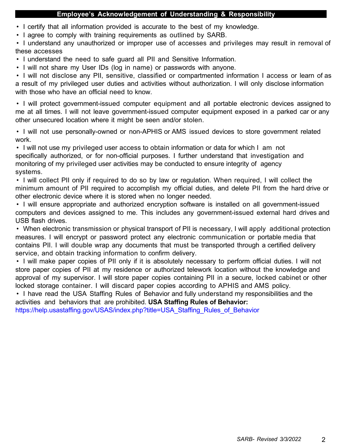#### **Employee's Acknowledgement of Understanding & Responsibility**

- I certify that all information provided is accurate to the best of my knowledge.
- I agree to comply with training requirements as outlined by SARB.

• I understand any unauthorized or improper use of accesses and privileges may result in removal of these accesses

- I understand the need to safe guard all PII and Sensitive Information.
- I will not share my User IDs (log in name) or passwords with anyone.

• I will not disclose any PII, sensitive, classified or compartmented information I access or learn of as a result of my privileged user duties and activities without authorization. I will only disclose information with those who have an official need to know.

• I will protect government-issued computer equipment and all portable electronic devices assigned to me at all times. I will not leave government-issued computer equipment exposed in a parked car or any other unsecured location where it might be seen and/or stolen.

• I will not use personally-owned or non-APHIS or AMS issued devices to store government related work.

• I will not use my privileged user access to obtain information or data for which I am not specifically authorized, or for non-official purposes. I further understand that investigation and monitoring of my privileged user activities may be conducted to ensure integrity of agency systems.

• I will collect PII only if required to do so by law or regulation. When required, I will collect the minimum amount of PII required to accomplish my official duties, and delete PII from the hard drive or other electronic device where it is stored when no longer needed.

• I will ensure appropriate and authorized encryption software is installed on all government-issued computers and devices assigned to me. This includes any government-issued external hard drives and USB flash drives.

• When electronic transmission or physical transport of PII is necessary, I will apply additional protection measures. I will encrypt or password protect any electronic communication or portable media that contains PII. I will double wrap any documents that must be transported through a certified delivery service, and obtain tracking information to confirm delivery.

• I will make paper copies of PII only if it is absolutely necessary to perform official duties. I will not store paper copies of PII at my residence or authorized telework location without the knowledge and approval of my supervisor. I will store paper copies containing PII in a secure, locked cabinet or other locked storage container. I will discard paper copies according to APHIS and AMS policy.

• I have read the USA Staffing Rules of Behavior and fully understand my responsibilities and the activities and behaviors that are prohibited. **USA Staffing Rules of Behavior:**

[https://help.usastaffing.gov/USAS/index.php?title=USA\\_Staffing\\_Rules\\_of\\_Behavior](https://help.usastaffing.gov/USAS/index.php?title=USA_Staffing_Rules_of_Behavior)